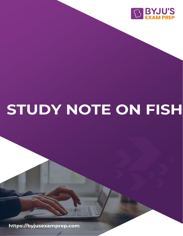

# STUDY NOTE ON FISH

https://byjusexamprep.com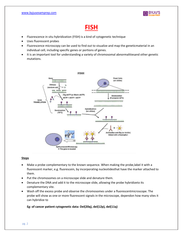

## **FISH**

- Fluorescence in situ hybridization (FISH) is a kind of cytogenetic technique
- Uses fluorescent probes
- Fluorescence microscopy can be used to find out to visualize and map the geneticmaterial in an individual cell, including specific genes or portions of genes.
- It is an important tool for understanding a variety of chromosomal abnormalitiesand other genetic mutations.



#### **Steps**

- Make a probe complementary to the known sequence. When making the probe,label it with a fluorescent marker, e.g. fluorescein, by incorporating nucleotidesthat have the marker attached to them.
- Put the chromosomes on a microscope slide and denature them.
- Denature the DNA and add it to the microscope slide, allowing the probe hybridizeto its complementary site.
- Wash off the excess probe and observe the chromosomes under a fluorescentmicroscope. The probe will show as one or more fluorescent signals in the microscope, dependon how many sites it can hybridize to

**Eg: of cancer patient cytogenetic data: Del(20q), del(12p), del(11q)**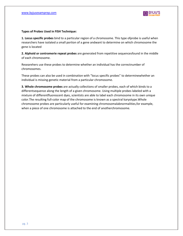

#### **Types of Probes Used in FISH Technique:**

**1. Locus specific probes** bind to a particular region of a chromosome. This type ofprobe is useful when researchers have isolated a small portion of a gene andwant to determine on which chromosome the gene is located

**2. Alphoid or centromerie repeat probes** are generated from repetitive sequencesfound in the middle of each chromosome.

Researehers use these probes to determine whether an individual has the correctnumber of chromosomes.

These probes can also be used in combination with "locus specific probes" to determinewhether an individual is missing genetic material from a particular chromosome.

**3. Whole chromosome probes** are actually collections of smaller probes, each of which binds to a differentsequence along the length of a given chromosome. Using multiple probes labeled with a mixture of differentfluorescent dyes, scientists are able to label each chromosome in its own unique color.The resulting full-color map of the chromosome is known as a spectral karyotype.Whole chromosome probes are particularly useful for examining chromosomalabnormalities,for example, when a piece of one chromosome is attached to the end of anotherchromosome.